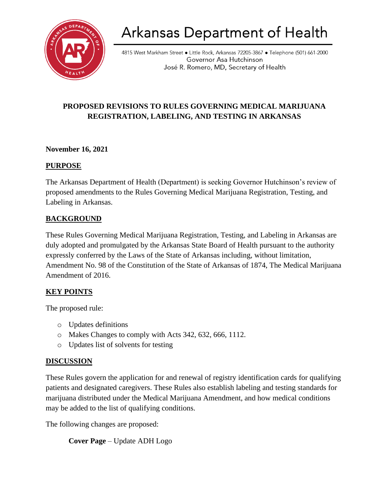

# Arkansas Department of Health

4815 West Markham Street • Little Rock, Arkansas 72205-3867 • Telephone (501) 661-2000 Governor Asa Hutchinson José R. Romero, MD, Secretary of Health

## **PROPOSED REVISIONS TO RULES GOVERNING MEDICAL MARIJUANA REGISTRATION, LABELING, AND TESTING IN ARKANSAS**

#### **November 16, 2021**

#### **PURPOSE**

The Arkansas Department of Health (Department) is seeking Governor Hutchinson's review of proposed amendments to the Rules Governing Medical Marijuana Registration, Testing, and Labeling in Arkansas.

### **BACKGROUND**

These Rules Governing Medical Marijuana Registration, Testing, and Labeling in Arkansas are duly adopted and promulgated by the Arkansas State Board of Health pursuant to the authority expressly conferred by the Laws of the State of Arkansas including, without limitation, Amendment No. 98 of the Constitution of the State of Arkansas of 1874, The Medical Marijuana Amendment of 2016.

### **KEY POINTS**

The proposed rule:

- o Updates definitions
- o Makes Changes to comply with Acts 342, 632, 666, 1112.
- o Updates list of solvents for testing

### **DISCUSSION**

These Rules govern the application for and renewal of registry identification cards for qualifying patients and designated caregivers. These Rules also establish labeling and testing standards for marijuana distributed under the Medical Marijuana Amendment, and how medical conditions may be added to the list of qualifying conditions.

The following changes are proposed:

```
Cover Page – Update ADH Logo
```